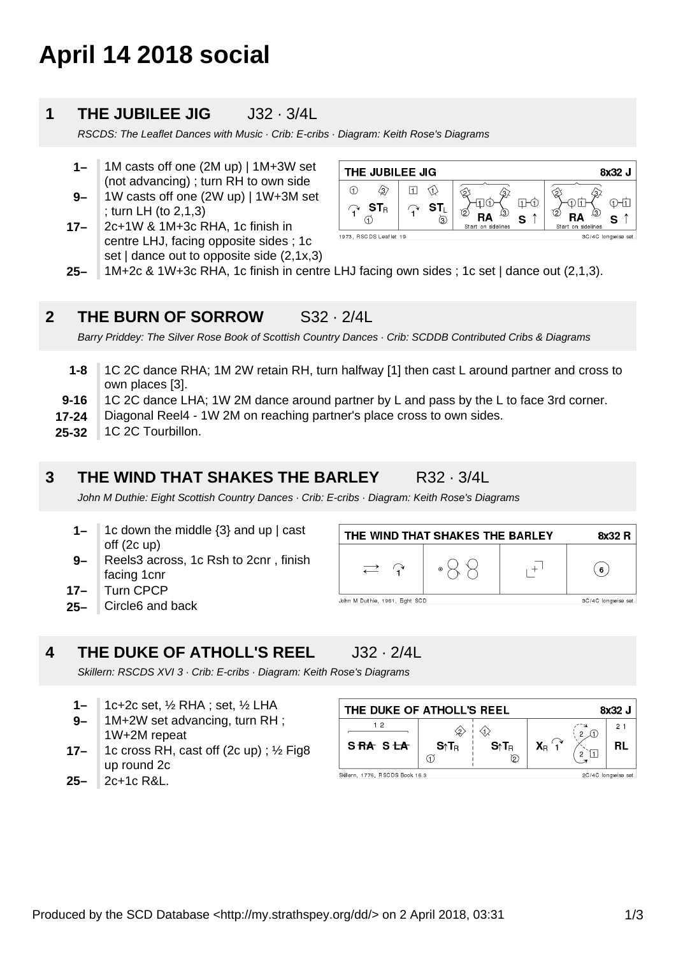# **April 14 2018 social**

# **1 THE JUBILEE JIG** J32 · 3/4L

RSCDS: The Leaflet Dances with Music · Crib: E-cribs · Diagram: Keith Rose's Diagrams

- **9– 1–** 1M casts off one (2M up) | 1M+3W set (not advancing) ; turn RH to own side 1W casts off one (2W up) | 1W+3M set
- ; turn LH (to 2,1,3)
- **17–** 2c+1W & 1M+3c RHA, 1c finish in centre LHJ, facing opposite sides ; 1c set | dance out to opposite side (2,1x,3)

| THE JUBILEE JIG                   |   |                                    | 8x32 J                         |
|-----------------------------------|---|------------------------------------|--------------------------------|
| (1)<br>$\mathbf{ST}_{\mathsf{R}}$ | ல | Ø<br>13<br>s<br>Start on sidelines | (2<br>13<br>Start on sidelines |
| 1973, RSCDS Leaflet 19            |   |                                    | 3C/4C longwise set.            |

**25–** 1M+2c & 1W+3c RHA, 1c finish in centre LHJ facing own sides ; 1c set | dance out (2,1,3).

# **2 THE BURN OF SORROW** S32 · 2/4L

Barry Priddey: The Silver Rose Book of Scottish Country Dances · Crib: SCDDB Contributed Cribs & Diagrams

- **1-8** 1C 2C dance RHA; 1M 2W retain RH, turn halfway [1] then cast L around partner and cross to own places [3].
- **9-16** 1C 2C dance LHA; 1W 2M dance around partner by L and pass by the L to face 3rd corner.
- **17-24** Diagonal Reel4 - 1W 2M on reaching partner's place cross to own sides.
- **25-32** 1C 2C Tourbillon.

## **3 THE WIND THAT SHAKES THE BARLEY** R32 · 3/4L

John M Duthie: Eight Scottish Country Dances · Crib: E-cribs · Diagram: Keith Rose's Diagrams

- **1–** 1c down the middle  $\{3\}$  and up  $\mathsf{l}$  cast off (2c up)
- **9–** Reels3 across, 1c Rsh to 2cnr , finish facing 1cnr
- **17–** Turn CPCP
- **25–** Circle6 and back



#### **4 THE DUKE OF ATHOLL'S REEL** J32 · 2/4L

Skillern: RSCDS XVI 3 · Crib: E-cribs · Diagram: Keith Rose's Diagrams

- **1–** 1c+2c set, ½ RHA ; set, ½ LHA
- **9–** 1M+2W set advancing, turn RH ; 1W+2M repeat
- **17–** 1c cross RH, cast off (2c up) ; ½ Fig8 up round 2c
- THE DUKE OF ATHOLL'S REEL 8x32 J  $12$  $2<sub>1</sub>$  $\Diamond$  $S \uparrow T_R$  $X_{\rm B}$ SRA SLA **RL** S↑T<sub>R</sub>  $\sigma$ Skillern, 1776, RSCDS Book 16.3 2C/4C longwise set.

**25–** 2c+1c R&L.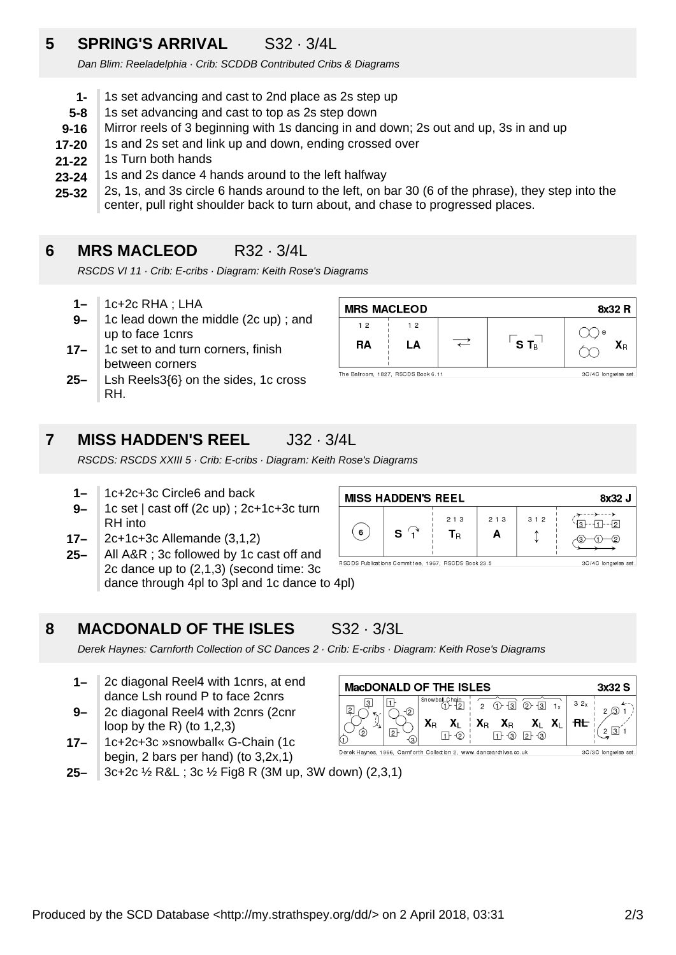# **5 SPRING'S ARRIVAL** S32 · 3/4L

Dan Blim: Reeladelphia · Crib: SCDDB Contributed Cribs & Diagrams

- **1-** 1s set advancing and cast to 2nd place as 2s step up
- **5-8** 1s set advancing and cast to top as 2s step down
- **9-16** Mirror reels of 3 beginning with 1s dancing in and down; 2s out and up, 3s in and up
- **17-20** 1s and 2s set and link up and down, ending crossed over
- **21-22** 1s Turn both hands
- **23-24** 1s and 2s dance 4 hands around to the left halfway
- **25-32** 2s, 1s, and 3s circle 6 hands around to the left, on bar 30 (6 of the phrase), they step into the center, pull right shoulder back to turn about, and chase to progressed places.

# **6 MRS MACLEOD** R32 · 3/4L

RSCDS VI 11 · Crib: E-cribs · Diagram: Keith Rose's Diagrams

- **1–** 1c+2c RHA ; LHA
- **9–** 1c lead down the middle (2c up) ; and up to face 1cnrs
- **17–** 1c set to and turn corners, finish between corners
- **25–** Lsh Reels3{6} on the sides, 1c cross RH.

| <b>MRS MACLEOD</b><br>8x32 R |                                     |  |         |                                  |  |  |
|------------------------------|-------------------------------------|--|---------|----------------------------------|--|--|
| 12<br>RA                     | 12<br>LA                            |  | $S T_B$ | $\odot$<br>$\mathbf{X}_\text{R}$ |  |  |
|                              | The Ballroom, 1827, RSCDS Book 6.11 |  |         | 3C/4C longwise set.              |  |  |

# **7 MISS HADDEN'S REEL** J32 · 3/4L

RSCDS: RSCDS XXIII 5 · Crib: E-cribs · Diagram: Keith Rose's Diagrams

- **1–** 1c+2c+3c Circle6 and back
- **9–** 1c set | cast off (2c up) ; 2c+1c+3c turn RH into
- **17–** 2c+1c+3c Allemande (3,1,2)
- **25–** All A&R ; 3c followed by 1c cast off and 2c dance up to (2,1,3) (second time: 3c dance through 4pl to 3pl and 1c dance to 4pl)

| <b>MISS HADDEN'S REEL</b> | 8x32 J |            |            |     |                    |
|---------------------------|--------|------------|------------|-----|--------------------|
| 6                         | s      | 213<br>Чв. | 2 1 3<br>A | 312 | -121<br>⊣ ?<br>(2) |

RSCDS Publications Committee, 1967, RSCDS Book 23.5

3C/4C longwise set

## **8 MACDONALD OF THE ISLES** S32 · 3/3L

Derek Haynes: Carnforth Collection of SC Dances 2 · Crib: E-cribs · Diagram: Keith Rose's Diagrams

- **1–** 2c diagonal Reel4 with 1cnrs, at end dance Lsh round P to face 2cnrs
- **9–** 2c diagonal Reel4 with 2cnrs (2cnr loop by the R) (to  $1,2,3$ )
- **17–** 1c+2c+3c »snowball« G-Chain (1c begin, 2 bars per hand) (to 3,2x,1)

**25–** 3c+2c ½ R&L ; 3c ½ Fig8 R (3M up, 3W down) (2,3,1)

| <b>MacDONALD OF THE ISLES</b>                                       |                         |                |  |           |                                                                                                                                                                                                                                                                                                                                                                                                                                                 |  |     | 3x32 S              |
|---------------------------------------------------------------------|-------------------------|----------------|--|-----------|-------------------------------------------------------------------------------------------------------------------------------------------------------------------------------------------------------------------------------------------------------------------------------------------------------------------------------------------------------------------------------------------------------------------------------------------------|--|-----|---------------------|
|                                                                     | Q)                      | Snowball_Chain |  | $(1) - 3$ | $2 + 3$                                                                                                                                                                                                                                                                                                                                                                                                                                         |  | 32x |                     |
| (ဂ                                                                  | 2<br>$\left( 3 \right)$ | $X_{R}$        |  |           | $\begin{array}{ccc} \mathbf{X}_{\mathsf{L}} & \mathbf{X}_{\mathsf{R}} & \mathbf{X}_{\mathsf{R}} & \mathbf{X}_{\mathsf{L}} & \mathbf{X}_{\mathsf{L}} \\ \mathbf{F} \odot & \mathbf{F} & \mathbf{F} \odot \mathbf{F} \odot \mathbf{F} \odot \mathbf{F} \odot \mathbf{F} \odot \mathbf{F} \odot \mathbf{F} \odot \mathbf{F} \odot \mathbf{F} \odot \mathbf{F} \odot \mathbf{F} \odot \mathbf{F} \odot \mathbf{F} \odot \mathbf{F} \odot \mathbf{F$ |  |     |                     |
| Derek Haynes, 1966, Carnforth Collection 2, www.dancearchives.co.uk |                         |                |  |           |                                                                                                                                                                                                                                                                                                                                                                                                                                                 |  |     | 3C/3C longwise set. |

Produced by the SCD Database <http://my.strathspey.org/dd/> on 2 April 2018, 03:31 2/3